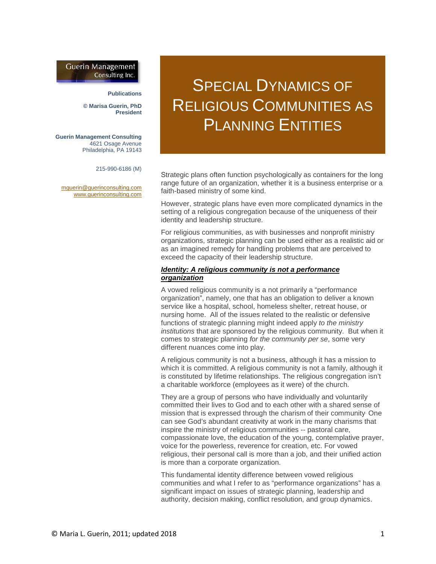# **Guerin Management** Consulting Inc.

#### **Publications**

**© Marisa Guerin, PhD President**

**Guerin Management Consulting** 4621 Osage Avenue Philadelphia, PA 19143

215-990-6186 (M)

[mguerin@guerinconsulting.com](mailto:mguerin@guerinconsulting.com) [www.guerinconsulting.com](http://www.guerinconsulting.com/)

# SPECIAL DYNAMICS OF RELIGIOUS COMMUNITIES AS PLANNING ENTITIES

Strategic plans often function psychologically as containers for the long range future of an organization, whether it is a business enterprise or a faith-based ministry of some kind.

However, strategic plans have even more complicated dynamics in the setting of a religious congregation because of the uniqueness of their identity and leadership structure.

For religious communities, as with businesses and nonprofit ministry organizations, strategic planning can be used either as a realistic aid or as an imagined remedy for handling problems that are perceived to exceed the capacity of their leadership structure.

## *Identity: A religious community is not a performance organization*

A vowed religious community is a not primarily a "performance organization", namely, one that has an obligation to deliver a known service like a hospital, school, homeless shelter, retreat house, or nursing home. All of the issues related to the realistic or defensive functions of strategic planning might indeed apply *to the ministry institutions* that are sponsored by the religious community. But when it comes to strategic planning *for the community per se*, some very different nuances come into play.

A religious community is not a business, although it has a mission to which it is committed. A religious community is not a family, although it is constituted by lifetime relationships. The religious congregation isn't a charitable workforce (employees as it were) of the church.

They are a group of persons who have individually and voluntarily committed their lives to God and to each other with a shared sense of mission that is expressed through the charism of their community. One can see God's abundant creativity at work in the many charisms that inspire the ministry of religious communities -- pastoral care, compassionate love, the education of the young, contemplative prayer, voice for the powerless, reverence for creation, etc. For vowed religious, their personal call is more than a job, and their unified action is more than a corporate organization.

This fundamental identity difference between vowed religious communities and what I refer to as "performance organizations" has a significant impact on issues of strategic planning, leadership and authority, decision making, conflict resolution, and group dynamics.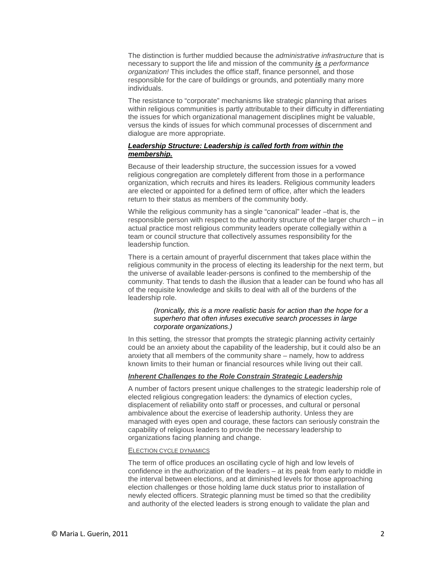The distinction is further muddied because the *administrative infrastructure* that is necessary to support the life and mission of the community *is a performance organization!* This includes the office staff, finance personnel, and those responsible for the care of buildings or grounds, and potentially many more individuals.

The resistance to "corporate" mechanisms like strategic planning that arises within religious communities is partly attributable to their difficulty in differentiating the issues for which organizational management disciplines might be valuable, versus the kinds of issues for which communal processes of discernment and dialogue are more appropriate.

# *Leadership Structure: Leadership is called forth from within the membership.*

Because of their leadership structure, the succession issues for a vowed religious congregation are completely different from those in a performance organization, which recruits and hires its leaders. Religious community leaders are elected or appointed for a defined term of office, after which the leaders return to their status as members of the community body.

While the religious community has a single "canonical" leader –that is, the responsible person with respect to the authority structure of the larger church – in actual practice most religious community leaders operate collegially within a team or council structure that collectively assumes responsibility for the leadership function.

There is a certain amount of prayerful discernment that takes place within the religious community in the process of electing its leadership for the next term, but the universe of available leader-persons is confined to the membership of the community. That tends to dash the illusion that a leader can be found who has all of the requisite knowledge and skills to deal with all of the burdens of the leadership role.

## *(Ironically, this is a more realistic basis for action than the hope for a superhero that often infuses executive search processes in large corporate organizations.)*

In this setting, the stressor that prompts the strategic planning activity certainly could be an anxiety about the capability of the leadership, but it could also be an anxiety that all members of the community share – namely, how to address known limits to their human or financial resources while living out their call.

# *Inherent Challenges to the Role Constrain Strategic Leadership*

A number of factors present unique challenges to the strategic leadership role of elected religious congregation leaders: the dynamics of election cycles, displacement of reliability onto staff or processes, and cultural or personal ambivalence about the exercise of leadership authority. Unless they are managed with eyes open and courage, these factors can seriously constrain the capability of religious leaders to provide the necessary leadership to organizations facing planning and change.

#### ELECTION CYCLE DYNAMICS

The term of office produces an oscillating cycle of high and low levels of confidence in the authorization of the leaders – at its peak from early to middle in the interval between elections, and at diminished levels for those approaching election challenges or those holding lame duck status prior to installation of newly elected officers. Strategic planning must be timed so that the credibility and authority of the elected leaders is strong enough to validate the plan and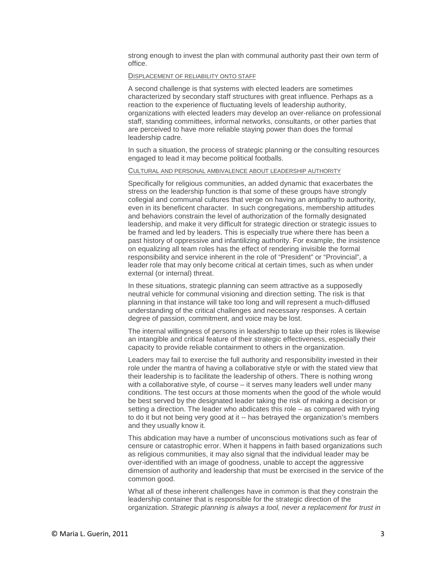strong enough to invest the plan with communal authority past their own term of office.

#### DISPLACEMENT OF RELIABILITY ONTO STAFF

A second challenge is that systems with elected leaders are sometimes characterized by secondary staff structures with great influence. Perhaps as a reaction to the experience of fluctuating levels of leadership authority, organizations with elected leaders may develop an over-reliance on professional staff, standing committees, informal networks, consultants, or other parties that are perceived to have more reliable staying power than does the formal leadership cadre.

In such a situation, the process of strategic planning or the consulting resources engaged to lead it may become political footballs.

#### CULTURAL AND PERSONAL AMBIVALENCE ABOUT LEADERSHIP AUTHORITY

Specifically for religious communities, an added dynamic that exacerbates the stress on the leadership function is that some of these groups have strongly collegial and communal cultures that verge on having an antipathy to authority, even in its beneficent character. In such congregations, membership attitudes and behaviors constrain the level of authorization of the formally designated leadership, and make it very difficult for strategic direction or strategic issues to be framed and led by leaders. This is especially true where there has been a past history of oppressive and infantilizing authority. For example, the insistence on equalizing all team roles has the effect of rendering invisible the formal responsibility and service inherent in the role of "President" or "Provincial", a leader role that may only become critical at certain times, such as when under external (or internal) threat.

In these situations, strategic planning can seem attractive as a supposedly neutral vehicle for communal visioning and direction setting. The risk is that planning in that instance will take too long and will represent a much-diffused understanding of the critical challenges and necessary responses. A certain degree of passion, commitment, and voice may be lost.

The internal willingness of persons in leadership to take up their roles is likewise an intangible and critical feature of their strategic effectiveness, especially their capacity to provide reliable containment to others in the organization.

Leaders may fail to exercise the full authority and responsibility invested in their role under the mantra of having a collaborative style or with the stated view that their leadership is to facilitate the leadership of others. There is nothing wrong with a collaborative style, of course – it serves many leaders well under many conditions. The test occurs at those moments when the good of the whole would be best served by the designated leader taking the risk of making a decision or setting a direction. The leader who abdicates this role – as compared with trying to do it but not being very good at it -- has betrayed the organization's members and they usually know it.

This abdication may have a number of unconscious motivations such as fear of censure or catastrophic error. When it happens in faith based organizations such as religious communities, it may also signal that the individual leader may be over-identified with an image of goodness, unable to accept the aggressive dimension of authority and leadership that must be exercised in the service of the common good.

What all of these inherent challenges have in common is that they constrain the leadership container that is responsible for the strategic direction of the organization. *Strategic planning is always a tool, never a replacement for trust in*